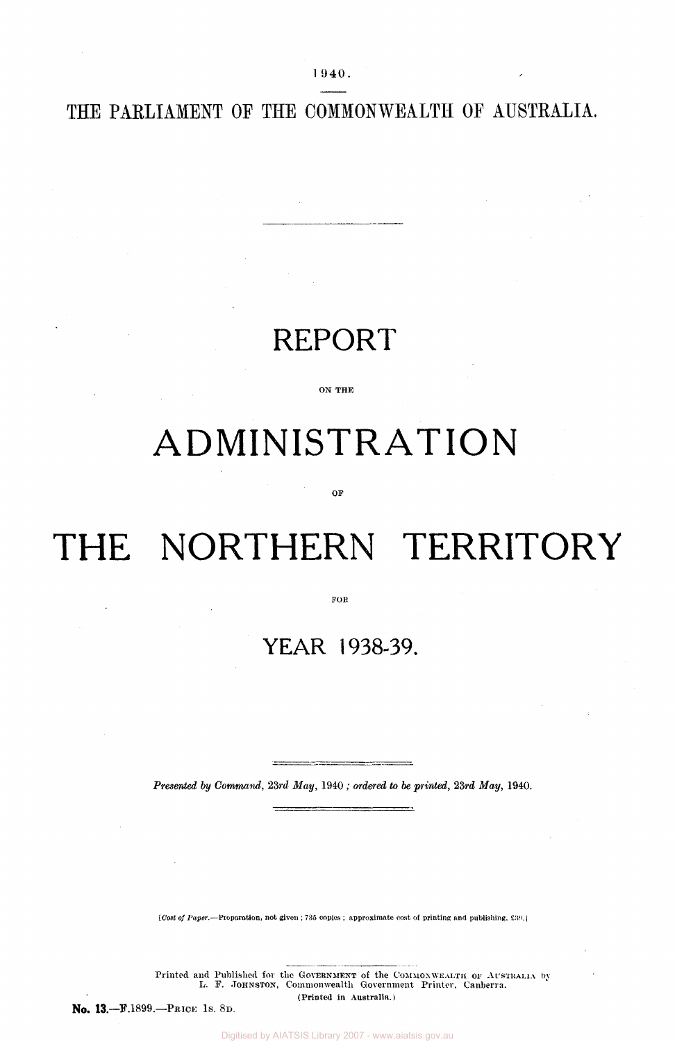1 940.

THE PARLIAMENT OF THE COMMONWEALTH OF AUSTRALIA.

## REPORT

ON THE

# ADMINISTRATION

OF

# THE NORTHERN TERRITORY

FOR

## YEAR 1938-39.

*Presented by Command; 23rd May,* 1940 ; *ordered to be printed, 23rd May,* 1940.

*[Cost of Paper.*—Preparation, not given ; 735 copies ; approximate cost of printing and publishing. 39.]

Printed and Published for the GOVERNMENT of the COMMONWEALTH OF AUSTRALIA by L. F. JOHNSTON, Commonwealth Government Printer, Canberra. (Printed in Australia.)

No. 13.—F.1899.—PRICE 1S. 8D.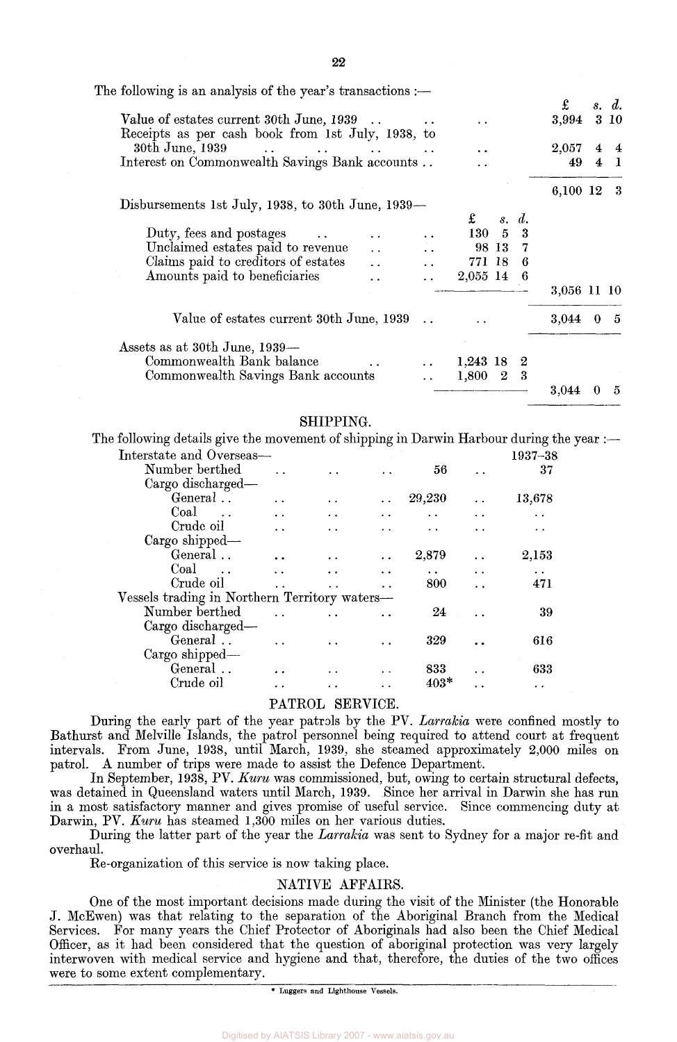| The following is an analysis of the year's transactions :-                                                                                                                                                                                                                                                               |             |                |       |
|--------------------------------------------------------------------------------------------------------------------------------------------------------------------------------------------------------------------------------------------------------------------------------------------------------------------------|-------------|----------------|-------|
|                                                                                                                                                                                                                                                                                                                          | £           |                | s. d. |
| Value of estates current 30th June, 1939<br>. .<br>Receipts as per cash book from 1st July, 1938, to                                                                                                                                                                                                                     | 3,994       |                | 3 10  |
| 30th June, 1939<br><b><i>Contract Contract Contract</i></b><br>$\mathbf{r}$ , and the contract of the contract of the contract of the contract of the contract of the contract of the contract of the contract of the contract of the contract of the contract of the contract of the contract o<br>$\ddot{\phantom{a}}$ | $2,\!057$   | $\overline{4}$ |       |
| Interest on Commonwealth Savings Bank accounts<br>. .                                                                                                                                                                                                                                                                    | 49          | $\overline{4}$ | - 1   |
|                                                                                                                                                                                                                                                                                                                          | 6,100 12    |                | -3    |
| Disbursements 1st July, 1938, to 30th June, 1939-                                                                                                                                                                                                                                                                        |             |                |       |
| $\mathbf f$<br>$d_{\cdot}$<br>$\mathcal{S}_{\bullet}$                                                                                                                                                                                                                                                                    |             |                |       |
| $130\quad 5$<br>3<br>Duty, fees and postages                                                                                                                                                                                                                                                                             |             |                |       |
| Unclaimed estates paid to revenue<br>98 13<br>7<br>$\mathbf{A}$                                                                                                                                                                                                                                                          |             |                |       |
| Claims paid to creditors of estates<br>771 18<br>6<br>$\ddot{\phantom{a}}$                                                                                                                                                                                                                                               |             |                |       |
| Amounts paid to beneficiaries<br>2,055 14<br>-6                                                                                                                                                                                                                                                                          |             |                |       |
|                                                                                                                                                                                                                                                                                                                          | 3,056 11 10 |                |       |
| Value of estates current 30th June, 1939                                                                                                                                                                                                                                                                                 | 3,044       | $\bf{0}$       | -5    |
| Assets as at 30th June, 1939—                                                                                                                                                                                                                                                                                            |             |                |       |
| Commonwealth Bank balance<br>$1,243$ 18<br>$\boldsymbol{2}$                                                                                                                                                                                                                                                              |             |                |       |
| Commonwealth Savings Bank accounts<br>-3<br>$1,\!800$<br>$\boldsymbol{2}$                                                                                                                                                                                                                                                |             |                |       |
|                                                                                                                                                                                                                                                                                                                          | 3,044       |                | 5     |

## SHIPPING:.

The following details give the movement of shipping in Darwin Harbour during the year :—

| Interstate and Overseas—                      |                      |     |                      |                      |                      | 1937-38 |
|-----------------------------------------------|----------------------|-----|----------------------|----------------------|----------------------|---------|
| Number berthed                                |                      |     |                      | 56                   |                      | 37      |
| Cargo discharged-                             |                      |     |                      |                      |                      |         |
| General                                       | $\ddot{\phantom{a}}$ | . . | $\ddot{\phantom{0}}$ | 29,230               |                      | 13,678  |
| Coal                                          | $\ddot{\phantom{0}}$ | . . |                      |                      |                      |         |
| Crude oil                                     | $\ddot{\phantom{0}}$ |     |                      |                      |                      |         |
| Cargo shipped—                                |                      |     |                      |                      |                      |         |
| General                                       |                      |     | $\ddot{\phantom{0}}$ | 2,879                |                      | 2,153   |
| Coal<br>$\sim$ $\sim$                         |                      |     | $\ddot{\phantom{a}}$ | $\ddot{\phantom{1}}$ | $\ddot{\phantom{a}}$ |         |
| Crude oil                                     |                      |     |                      | 800                  |                      | 471     |
| Vessels trading in Northern Territory waters— |                      |     |                      |                      |                      |         |
| Number berthed                                |                      |     |                      | 24                   |                      | 39      |
| Cargo discharged-                             |                      |     |                      |                      |                      |         |
| General                                       |                      |     |                      | 329                  |                      | 616     |
| Cargo shipped-                                |                      |     |                      |                      |                      |         |
| General                                       |                      |     |                      | 833                  |                      | 633     |
| Crude oil                                     |                      |     |                      | $403*$               |                      |         |
|                                               |                      |     |                      |                      |                      |         |

## PATROL SERVICE.

During the early part of the year patrols by the PV. *Larrakia* were confined mostly to Bathurst and Melville Islands, the patrol personnel being required to attend court at frequent intervals. From June, 1938, until March, 1939, she steamed approximately 2,000 miles on patrol. A number of trips were made to assist the Defence Department.

In September, 1938, PV. *Kuru* was commissioned, but, owing to certain structural defects, was detained in Queensland waters until March, 1939. Since her arrival in Darwin she has run in a most satisfactory manner and gives promise of useful service. Since commencing duty at Darwin, PV. *Kuru* has steamed 1,300 miles on her various duties.

During the latter part of the year the *Larrakia* was sent to Sydney for a major re-fit and overhaul.

Re-organization of this service is now taking place.

## NATIVE AFFAIRS.

One of the most important decisions made during the visit of the Minister (the Honorable J. McEwen) was that relating to the separation of the Aboriginal Branch from the Medical Services. For many years the Chief Protector of Aboriginals had also been the Chief Medical Officer, as it had been considered that the question of aboriginal protection was very largely interwoven with medical service and hygiene and that, therefore, the duties of the two offices were to some extent complementary.

\* Luggers and Lighthouse Vessels.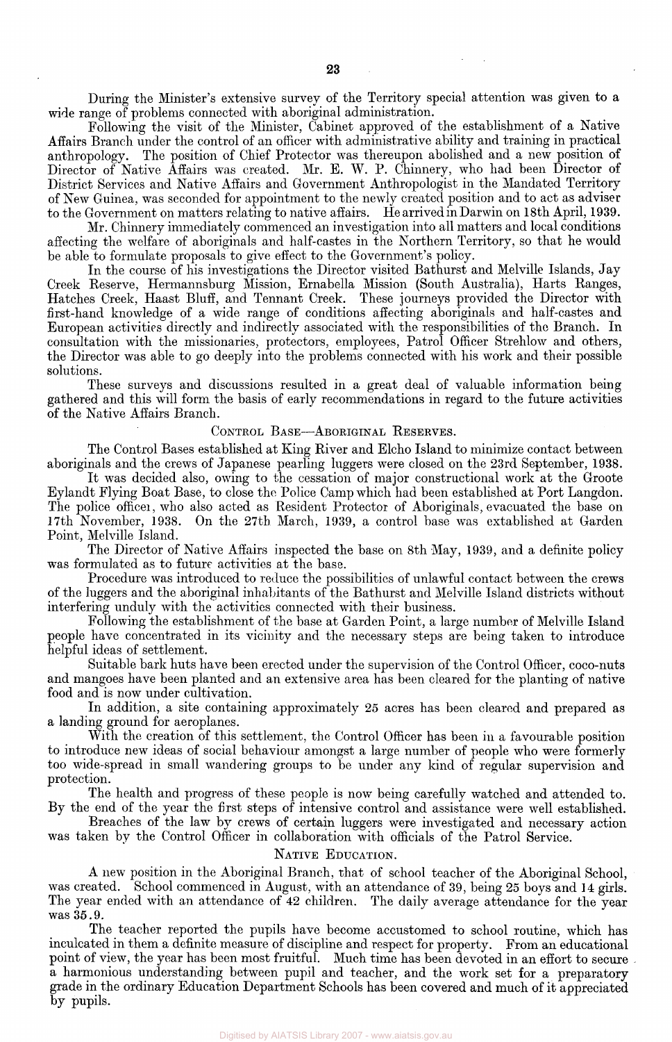During the Minister's extensive survey of the Territory special attention was given to a wide range of problems connected with aboriginal administration.

Following the visit of the Minister, Cabinet approved of the establishment of a Native Affairs Branch under the control of an officer with administrative ability and training in practical anthropology. The position of Chief Protector was thereupon abolished and a new position of Director of Native Affairs was created. Mr. E. W. P. Chinnery, who had been Director of District Services and Native Affairs and Government Anthropologist in the Mandated Territory of New Guinea, was seconded for appointment to the newly created position and to act as adviser to the Government on matters relating to native affairs. He arrived in Darwin on 18th April, 1939.

Mr. Chinnery immediately commenced an investigation into all matters and local conditions affecting the welfare of aboriginals and half-castes in the Northern Territory, so that he would be able to formulate proposals to give effect to the Government's policy.

In the course of his investigations the Director visited Bathurst and Melville Islands, Jay Creek Reserve, Hermannsburg Mission, Ernabella Mission (South Australia), Harts Kanges, Hatches Creek, Haast Bluff, and Tennant Creek. These journeys provided the Director with first-hand knowledge of a wide range of conditions affecting aboriginals and half-castes and European activities directly and indirectly associated with the responsibilities of the Branch. In consultation with the missionaries, protectors, employees, Patrol Officer Strehlow and others, the Director was able to go deeply into the problems connected with his work and their possible solutions.

These surveys and discussions resulted in a great deal of valuable information being gathered and this will form the basis of early recommendations in regard to the future activities of the Native Affairs Branch.

## CONTROL BASE—ABORIGINAL RESERVES.

The Control Bases established at King River and Elcho Island to minimize contact between aboriginals and the crews of Japanese pearling luggers were closed on the 23rd September, 1938.

It was decided also, owing to the cessation of major constructional work at the Groote Eylandt Flying Boat Base, to close the Police Camp which had been established at Port Langdon. The police officer, who also acted as Resident Protector of Aboriginals, evacuated the base on 17th November, 1938. On the 27th March, 1939, a control base was extablished at Garden Point, Melville Island.

The Director of Native Affairs inspected the base on 8th May, 1939, and a definite policy was formulated as to future activities at the base.

Procedure was introduced to reduce the possibilities of unlawful contact between the crews of the luggers and the aboriginal inhabitants of the Bathurst and Melville Island districts without interfering unduly with the activities connected with their business.

Following the establishment of the base at Garden Point, a large number of Melville Island people have concentrated in its vicinity and the necessary steps are being taken to introduce helpful ideas of settlement.

Suitable bark huts have been erected under the supervision of the Control Officer, coco-nuts and mangoes have been planted and an extensive area has been cleared for the planting of native food and is now under cultivation.

In addition, a site containing approximately 25 acres has been cleared and prepared as a landing ground for aeroplanes.

With the creation of this settlement, the Control Officer has been in a favourable position to introduce new ideas of social behaviour amongst a large number of people who were formerly too wide-spread in small wandering groups to be under any kind of regular supervision and. protection.

The health and progress of these people is now being carefully watched and attended to. By the end of the year the first steps of intensive control and assistance were well established.

Breaches of the law by crews of certain luggers were investigated and necessary action was taken by the Control Officer in collaboration with officials of the Patrol Service.

## NATIVE EDUCATION.

A new position in the Aboriginal Branch, that of school teacher of the Aboriginal School, was created. School commenced in August, with an attendance of 39, being 25 boys and 14 girls. The year ended with an attendance of 42 children. The daily average attendance for the year was 35.9.

The teacher reported the pupils have become accustomed to school routine, which has inculcated in them a definite measure of discipline and respect for property. From an educational point of view, the year has been most fruitful. Much time has been devoted in an effort to secure. a harmonious understanding between pupil and teacher, and the work set for a preparatory grade in the ordinary Education Department Schools has been covered and much of it appreciated by pupils.

Digitised by AIATSIS Library 2007 - www.aiatsis.gov.au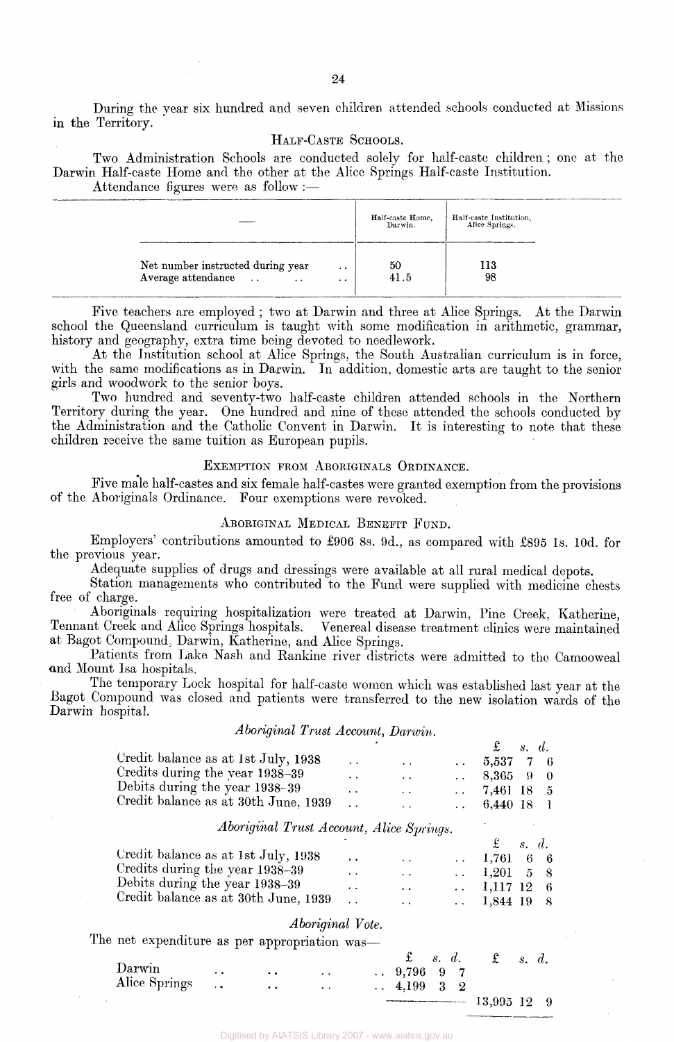During the year six hundred and seven children attended schools conducted at Missions in the Territory.

## HALF-CASTE SCHOOLS.

Two Administration Schools are conducted solely for half-caste children ; one at the Darwin Half-caste Home and the other at the Alice Springs Half-caste Institution. Attendance figures were as follow :—

|                                                                                              |                        | Half-caste Home,<br>Darwin. | Half-caste Institution,<br>Alice Springs. |  |
|----------------------------------------------------------------------------------------------|------------------------|-----------------------------|-------------------------------------------|--|
| Net number instructed during year<br>Average attendance<br>$\ddotsc$<br>$\ddot{\phantom{1}}$ | . .<br>$\cdot$ $\cdot$ | 50<br>41.5                  | 113<br>98                                 |  |

Five teachers are employed ; two at Darwin and three at Alice Springs. At the Darwin school the Queensland curriculum is taught with some modification in arithmetic, grammar, history and geography, extra time being devoted to needlework.

At the Institution school at Alice Springs, the South Australian curriculum is in force, with the same modifications as in Darwin. In addition, domestic arts are taught to the senior girls and woodwork to the senior boys.

Two hundred and seventy-two half-caste children attended schools in the Northern Territory during the year. One hundred and nine of these attended the schools conducted by the Administration and the Catholic Convent in Darwin. It is interesting to note that these children receive the same tuition as European pupils.

## EXEMPTION FROM ABORIGINALS ORDINANCE.

Five male half-castes and six female half-castes were granted exemption from the provisions of the Aboriginals Ordinance. Four exemptions were revoked.

## ABORIGINAL MEDICAL BENEFIT FUND.

Employers' contributions amounted to £906 8s. 9d., as compared with £895 1s. 10d. for the previous year.

Adequate supplies of drugs and dressings were available at all rural medical depots.

Station managements who contributed to the Fund were supplied with medicine chests free of charge.

Aboriginals requiring hospitalization were treated at Darwin, Pine Creek, Katherine, Tennant Creek and Alice Springs hospitals. Venereal disease treatment clinics were maintained at Bagot Compound; Darwin, Katherine, and Alice Springs.

Patients from Lake Nash and Rankine river districts were admitted to the Camooweal end Mount Isa hospitals.

The temporary Lock hospital for half-caste women which was established last year at the Bagot Compound was closed and patients were transferred to the new isolation wards of the Darwin hospital.

## *Aboriginal Trust Account, Darwin.*

|                                      |                      |                      | $\mathfrak{L}$ s.d.   |  |
|--------------------------------------|----------------------|----------------------|-----------------------|--|
| Credit balance as at 1st July, 1938  | $\sim$ $\sim$        | $\sim$               | $\ldots$ 5.537 7 6    |  |
| Credits during the year 1938-39      | $\ddot{\phantom{0}}$ | $\ddot{\phantom{1}}$ | $\ldots$ 8,365 9 0    |  |
| Debits during the year 1938-39       |                      | $\ddot{\phantom{1}}$ | $\ldots$ 7.461 18 5   |  |
| Credit balance as at 30th June, 1939 |                      |                      | $\therefore$ 6,440 18 |  |

## *Aboriginal Trust Account, Alice Springs.*

|                                      |        |                      | $\mathfrak{L}$ s.d. |  |
|--------------------------------------|--------|----------------------|---------------------|--|
| Credit balance as at 1st July, 1938  |        | $\ddot{\phantom{1}}$ | $\ldots$ 1,761 6 6  |  |
| Credits during the year 1938-39      | $\sim$ | $\ddot{\phantom{0}}$ | $\ldots$ 1.201 5 8  |  |
| Debits during the year 1938-39       | $\sim$ | $\ddot{\phantom{1}}$ | $\ldots$ 1,117 12 6 |  |
| Credit balance as at 30th June, 1939 |        | . .                  | $\ldots$ 1,844 19 8 |  |

## *Aboriginal Vote.*

The net expenditure as per appropriation was—

|               |                      |                      |                      | $\ddot{z}$ s. d.                                                                                                                                                                                                               |  | $\mathfrak{\pounds}$ | s. d. |  |
|---------------|----------------------|----------------------|----------------------|--------------------------------------------------------------------------------------------------------------------------------------------------------------------------------------------------------------------------------|--|----------------------|-------|--|
| Darwin        | $\ddot{\phantom{1}}$ | $\ddot{\phantom{a}}$ | $\ddot{\phantom{1}}$ | $\therefore$ 9,796 9 7                                                                                                                                                                                                         |  |                      |       |  |
| Alice Springs |                      | $\bullet$            | $\ddot{\phantom{a}}$ | $\therefore$ 4.199 3 2                                                                                                                                                                                                         |  |                      |       |  |
|               |                      |                      |                      | The construction of the contract of the contract of the contract of the contract of the contract of the contract of the contract of the contract of the contract of the contract of the contract of the contract of the contra |  | $13,995$ $12$ 9      |       |  |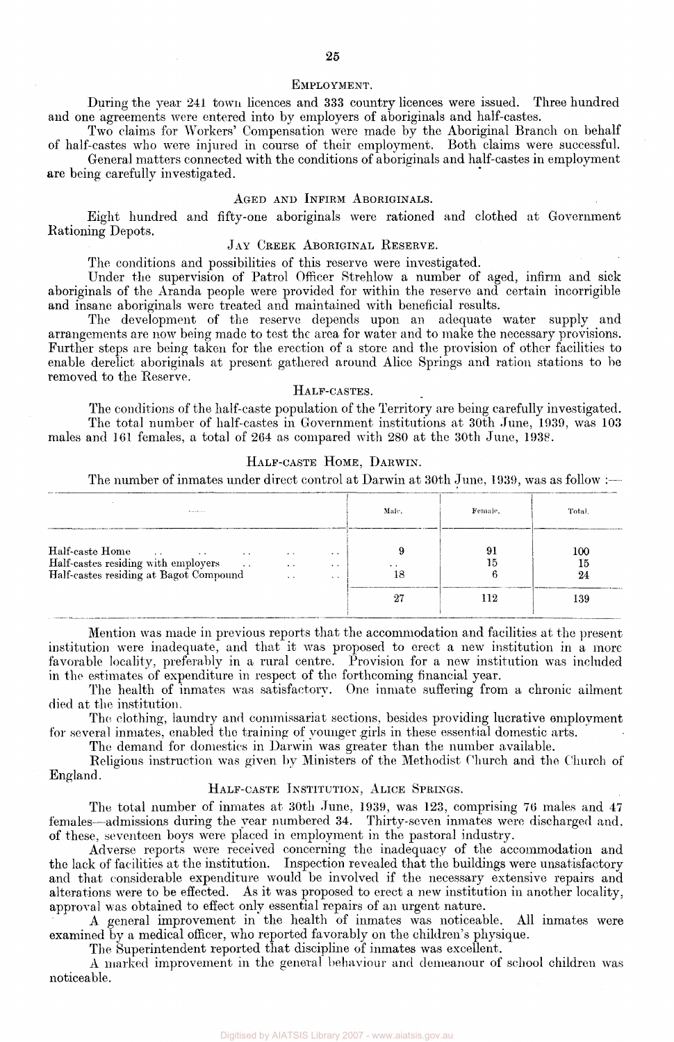## EMPLOYMENT.

During the year 241 town licences and 333 country licences were issued. Three hundred and one agreements were entered into by employers of aboriginals and half-castes.

Two claims for Workers' Compensation were made by the Aboriginal Branch on behalf of half-castes who were injured in course of their employment. Both claims were successful. General matters connected with the conditions of aboriginals and half-castes in employment

are being carefully investigated.

## AGED AND INFIRM ABORIGINALS.

Eight hundred and fifty-one aboriginals were rationed and clothed at Government Rationing Depots.

## JAY CREEK ABORIGINAL RESERVE.

The conditions and possibilities of this reserve were investigated.

Under the supervision of Patrol Officer Strehlow a number of aged, infirm and sick aboriginals of the Aranda people were provided for within the reserve and certain incorrigible and insane aboriginals were treated and maintained with beneficial results.

The development of the reserve depends upon an adequate water supply and arrangements are now being made to test the area for water and to make the necessary provisions. Further steps are being taken for the erection of a store and the provision of other facilities to enable derelict aboriginals at present gathered around Alice Springs and ration stations to be removed to the Reserve.

## HALF-CASTES.

The conditions of the half-caste population of the Territory are being carefully investigated. The total number of half-castes in Government institutions at 30th June, 1939, was 103 males and 161 females, a total of 264 as compared with 280 at the 30th June, 1938.

## HALF-CASTE HOME, DARWIN.

The number of inmates under direct control at Darwin at 30th June, 1939, was as follow :—

| $1000 - 1000 - 1000$                                                                                                                                                                |                                                               |                                                          | Male.                      | Female. | Total.          |
|-------------------------------------------------------------------------------------------------------------------------------------------------------------------------------------|---------------------------------------------------------------|----------------------------------------------------------|----------------------------|---------|-----------------|
| Half-caste Home<br>$\sim$ $\sim$<br><b><i>Contract State State</i></b><br>Half-castes residing with employers<br><b>Contract Contract</b><br>Half-castes residing at Bagot Compound | $\cdot$ $\cdot$<br>$\cdot$ $\cdot$<br>$\sim$ $\sim$<br>$\sim$ | $\ddot{\phantom{1}}$<br>$\cdot$ $\cdot$<br>$\sim$ $\sim$ | $\ddot{\phantom{1}}$<br>18 | 15      | 100<br>15<br>24 |
|                                                                                                                                                                                     |                                                               |                                                          | $2^{\prime}$               | . 12    | 139             |

Mention was made in previous reports that the accommodation and facilities at the present institution were inadequate, and that it was proposed to erect a new institution in a more favorable locality, preferably in a rural centre. Provision for a new institution was included in the estimates of expenditure in respect of the forthcoming financial year.

The health of inmates was satisfactory. One inmate suffering from a chronic ailment died at the institution.

The clothing, laundry and commissariat sections, besides providing lucrative employment for several inmates, enabled the training of younger girls in these essential domestic arts.

The demand for domestics in Darwin was greater than the number available.

Religious instruction was given by Ministers of the Methodist Church and the Church of England.

### HALF-CASTE INSTITUTION, ALICE SPRINGS.

The total number of inmates at 30th June, 1939, was 123, comprising 76 males and 47 females—admissions during the year numbered 34. Thirty-seven inmates were discharged and. of these, seventeen boys were placed in employment in the pastoral industry.

Adverse reports were received concerning the inadequacy of the accommodation and the lack of facilities at the institution. Inspection revealed that the buildings were unsatisfactory and that considerable expenditure would be involved if the necessary extensive repairs and alterations were to be effected. As it was proposed to erect a new institution in another locality, approval was obtained to effect only essential repairs of an urgent nature.

A general improvement in the health of inmates was noticeable. All inmates were examined by a medical officer, who reported favorably on the children's physique.

The Superintendent reported that discipline of inmates was excellent.

A marked improvement in the general behaviour and demeanour of school children was noticeable.